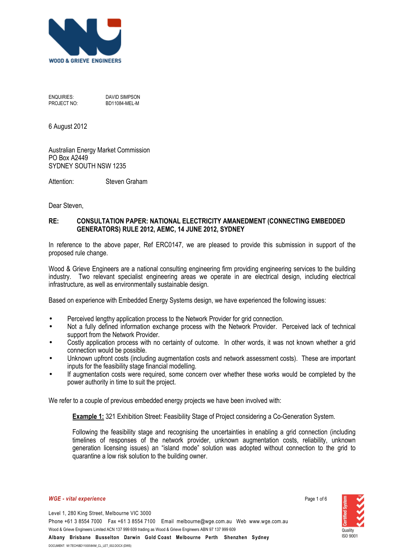

ENQUIRIES: DAVID SIMPSON PROJECT NO: BD11084-MEL-M

6 August 2012

Australian Energy Market Commission PO Box A2449 SYDNEY SOUTH NSW 1235

Attention: Steven Graham

Dear Steven,

## **RE: CONSULTATION PAPER: NATIONAL ELECTRICITY AMANEDMENT (CONNECTING EMBEDDED GENERATORS) RULE 2012, AEMC, 14 JUNE 2012, SYDNEY**

In reference to the above paper, Ref ERC0147, we are pleased to provide this submission in support of the proposed rule change.

Wood & Grieve Engineers are a national consulting engineering firm providing engineering services to the building industry. Two relevant specialist engineering areas we operate in are electrical design, including electrical infrastructure, as well as environmentally sustainable design.

Based on experience with Embedded Energy Systems design, we have experienced the following issues:

- Perceived lengthy application process to the Network Provider for grid connection.
- Not a fully defined information exchange process with the Network Provider. Perceived lack of technical support from the Network Provider.
- Costly application process with no certainty of outcome. In other words, it was not known whether a grid connection would be possible.
- Unknown upfront costs (including augmentation costs and network assessment costs). These are important inputs for the feasibility stage financial modelling.
- If augmentation costs were required, some concern over whether these works would be completed by the power authority in time to suit the project.

We refer to a couple of previous embedded energy projects we have been involved with:

**Example 1: 321 Exhibition Street: Feasibility Stage of Project considering a Co-Generation System.** 

Following the feasibility stage and recognising the uncertainties in enabling a grid connection (including timelines of responses of the network provider, unknown augmentation costs, reliability, unknown generation licensing issues) an "island mode" solution was adopted without connection to the grid to quarantine a low risk solution to the building owner.

## *WGE vital experience*

Page 1 of 6

Level 1, 280 King Street, Melbourne VIC 3000 Phone +61 3 8554 7000 Fax +61 3 8554 7100 Email melbourne@wge.com.au Web www.wge.com.au Wood & Grieve Engineers Limited ACN 137 999 609 trading as Wood & Grieve Engineers ABN 97 137 999 609 **Albany Brisbane Busselton Darwin Gold Coast Melbourne Perth Shenzhen Sydney**

DOCUMENT: M:\TECH\BD11000\84\M\_CL\_LET\_002.DOCX (DWS)

Quality ISO 9001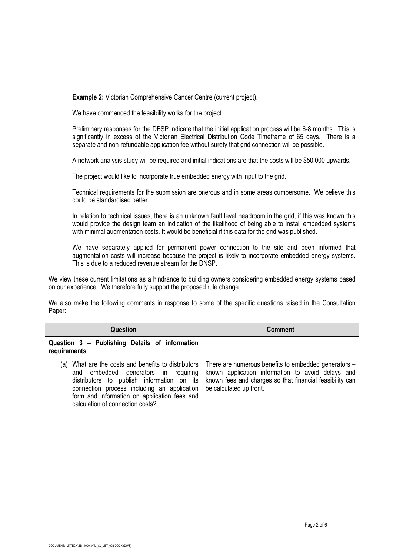**Example 2:** Victorian Comprehensive Cancer Centre (current project).

We have commenced the feasibility works for the project.

Preliminary responses for the DBSP indicate that the initial application process will be 6-8 months. This is significantly in excess of the Victorian Electrical Distribution Code Timeframe of 65 days. There is a separate and non-refundable application fee without surety that grid connection will be possible.

A network analysis study will be required and initial indications are that the costs will be \$50,000 upwards.

The project would like to incorporate true embedded energy with input to the grid.

Technical requirements for the submission are onerous and in some areas cumbersome. We believe this could be standardised better.

In relation to technical issues, there is an unknown fault level headroom in the grid, if this was known this would provide the design team an indication of the likelihood of being able to install embedded systems with minimal augmentation costs. It would be beneficial if this data for the grid was published.

We have separately applied for permanent power connection to the site and been informed that augmentation costs will increase because the project is likely to incorporate embedded energy systems. This is due to a reduced revenue stream for the DNSP.

We view these current limitations as a hindrance to building owners considering embedded energy systems based on our experience. We therefore fully support the proposed rule change.

We also make the following comments in response to some of the specific questions raised in the Consultation Paper:

| <b>Question</b>                                                                                                                                                                                                                                                              | <b>Comment</b>                                                                                                                                                                                   |
|------------------------------------------------------------------------------------------------------------------------------------------------------------------------------------------------------------------------------------------------------------------------------|--------------------------------------------------------------------------------------------------------------------------------------------------------------------------------------------------|
| Question 3 - Publishing Details of information<br>requirements                                                                                                                                                                                                               |                                                                                                                                                                                                  |
| (a) What are the costs and benefits to distributors<br>and embedded generators in requiring<br>distributors to publish information on its<br>connection process including an application<br>form and information on application fees and<br>calculation of connection costs? | There are numerous benefits to embedded generators -<br>known application information to avoid delays and<br>known fees and charges so that financial feasibility can<br>be calculated up front. |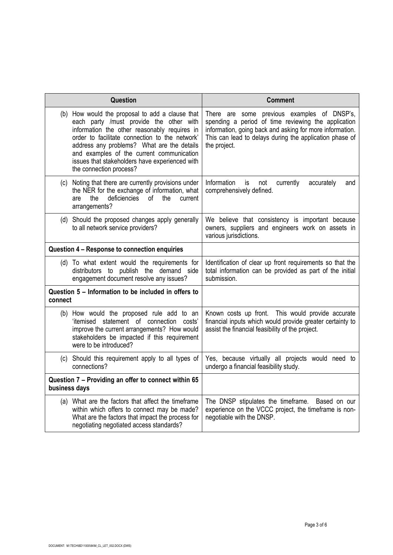| Question                                                                                                                                                                                                                                                                                                                                                             | <b>Comment</b>                                                                                                                                                                                                                            |
|----------------------------------------------------------------------------------------------------------------------------------------------------------------------------------------------------------------------------------------------------------------------------------------------------------------------------------------------------------------------|-------------------------------------------------------------------------------------------------------------------------------------------------------------------------------------------------------------------------------------------|
| (b) How would the proposal to add a clause that<br>each party /must provide the other with<br>information the other reasonably requires in<br>order to facilitate connection to the network'<br>address any problems? What are the details<br>and examples of the current communication<br>issues that stakeholders have experienced with<br>the connection process? | There are some previous examples of DNSP's,<br>spending a period of time reviewing the application<br>information, going back and asking for more information.<br>This can lead to delays during the application phase of<br>the project. |
| Noting that there are currently provisions under<br>(c)<br>the NER for the exchange of information, what<br>deficiencies<br>of the<br>the<br>current<br>are<br>arrangements?                                                                                                                                                                                         | Information<br>is<br>currently<br>accurately<br>not<br>and<br>comprehensively defined.                                                                                                                                                    |
| (d) Should the proposed changes apply generally<br>to all network service providers?                                                                                                                                                                                                                                                                                 | We believe that consistency is important because<br>owners, suppliers and engineers work on assets in<br>various jurisdictions.                                                                                                           |
| Question 4 - Response to connection enquiries                                                                                                                                                                                                                                                                                                                        |                                                                                                                                                                                                                                           |
| (d) To what extent would the requirements for<br>distributors to publish the demand side<br>engagement document resolve any issues?                                                                                                                                                                                                                                  | Identification of clear up front requirements so that the<br>total information can be provided as part of the initial<br>submission.                                                                                                      |
| Question 5 - Information to be included in offers to<br>connect                                                                                                                                                                                                                                                                                                      |                                                                                                                                                                                                                                           |
| (b) How would the proposed rule add to an<br>'itemised statement of connection costs'<br>improve the current arrangements? How would<br>stakeholders be impacted if this requirement<br>were to be introduced?                                                                                                                                                       | Known costs up front. This would provide accurate<br>financial inputs which would provide greater certainty to<br>assist the financial feasibility of the project.                                                                        |
| (c) Should this requirement apply to all types of<br>connections?                                                                                                                                                                                                                                                                                                    | Yes, because virtually all projects would need to<br>undergo a financial feasibility study.                                                                                                                                               |
| Question 7 - Providing an offer to connect within 65<br>business days                                                                                                                                                                                                                                                                                                |                                                                                                                                                                                                                                           |
| (a) What are the factors that affect the timeframe<br>within which offers to connect may be made?<br>What are the factors that impact the process for<br>negotiating negotiated access standards?                                                                                                                                                                    | The DNSP stipulates the timeframe. Based on our<br>experience on the VCCC project, the timeframe is non-<br>negotiable with the DNSP.                                                                                                     |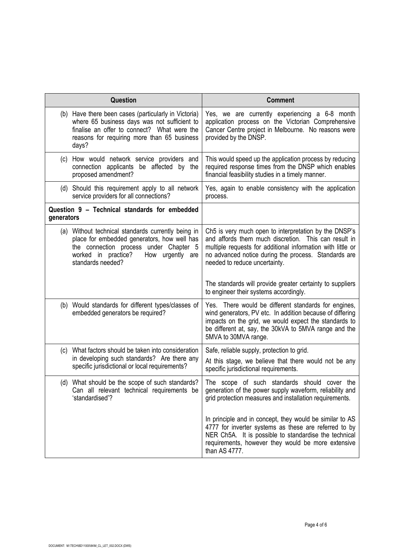|            | Question                                                                                                                                                                                                    | <b>Comment</b>                                                                                                                                                                                                                                                        |
|------------|-------------------------------------------------------------------------------------------------------------------------------------------------------------------------------------------------------------|-----------------------------------------------------------------------------------------------------------------------------------------------------------------------------------------------------------------------------------------------------------------------|
|            | (b) Have there been cases (particularly in Victoria)<br>where 65 business days was not sufficient to<br>finalise an offer to connect? What were the<br>reasons for requiring more than 65 business<br>days? | Yes, we are currently experiencing a 6-8 month<br>application process on the Victorian Comprehensive<br>Cancer Centre project in Melbourne. No reasons were<br>provided by the DNSP.                                                                                  |
|            | (c) How would network service providers and<br>connection applicants be affected by the<br>proposed amendment?                                                                                              | This would speed up the application process by reducing<br>required response times from the DNSP which enables<br>financial feasibility studies in a timely manner.                                                                                                   |
|            | (d) Should this requirement apply to all network<br>service providers for all connections?                                                                                                                  | Yes, again to enable consistency with the application<br>process.                                                                                                                                                                                                     |
| generators | Question 9 - Technical standards for embedded                                                                                                                                                               |                                                                                                                                                                                                                                                                       |
|            | (a) Without technical standards currently being in<br>place for embedded generators, how well has<br>the connection process under Chapter 5<br>worked in practice?<br>How urgently are<br>standards needed? | Ch5 is very much open to interpretation by the DNSP's<br>and affords them much discretion. This can result in<br>multiple requests for additional information with little or<br>no advanced notice during the process. Standards are<br>needed to reduce uncertainty. |
|            |                                                                                                                                                                                                             | The standards will provide greater certainty to suppliers<br>to engineer their systems accordingly.                                                                                                                                                                   |
|            | (b) Would standards for different types/classes of<br>embedded generators be required?                                                                                                                      | Yes. There would be different standards for engines,<br>wind generators, PV etc. In addition because of differing<br>impacts on the grid, we would expect the standards to<br>be different at, say, the 30kVA to 5MVA range and the<br>5MVA to 30MVA range.           |
| (c)        | What factors should be taken into consideration<br>in developing such standards? Are there any<br>specific jurisdictional or local requirements?                                                            | Safe, reliable supply, protection to grid.<br>At this stage, we believe that there would not be any<br>specific jurisdictional requirements.                                                                                                                          |
|            | (d) What should be the scope of such standards?<br>Can all relevant technical requirements be<br>'standardised'?                                                                                            | The scope of such standards should cover the<br>generation of the power supply waveform, reliability and<br>grid protection measures and installation requirements.                                                                                                   |
|            |                                                                                                                                                                                                             | In principle and in concept, they would be similar to AS<br>4777 for inverter systems as these are referred to by<br>NER Ch5A. It is possible to standardise the technical<br>requirements, however they would be more extensive<br>than AS 4777.                     |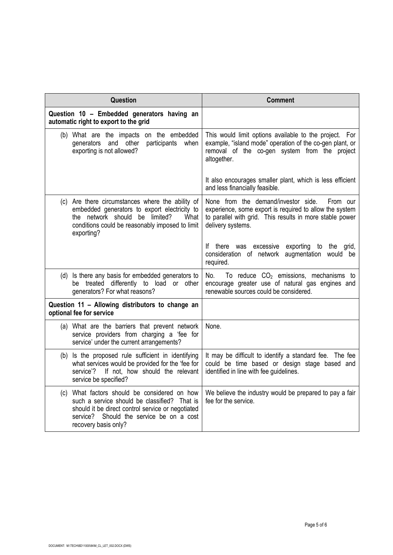| Question                                                                                                                                                                                                                 | <b>Comment</b>                                                                                                                                                                              |
|--------------------------------------------------------------------------------------------------------------------------------------------------------------------------------------------------------------------------|---------------------------------------------------------------------------------------------------------------------------------------------------------------------------------------------|
| Question 10 - Embedded generators having an<br>automatic right to export to the grid                                                                                                                                     |                                                                                                                                                                                             |
| (b) What are the impacts on the embedded<br>and other<br>participants<br>when<br>generators<br>exporting is not allowed?                                                                                                 | This would limit options available to the project. For<br>example, "island mode" operation of the co-gen plant, or<br>removal of the co-gen system from the project<br>altogether.          |
|                                                                                                                                                                                                                          | It also encourages smaller plant, which is less efficient<br>and less financially feasible.                                                                                                 |
| (c) Are there circumstances where the ability of<br>embedded generators to export electricity to<br>the network should be limited?<br>What<br>conditions could be reasonably imposed to limit<br>exporting?              | None from the demand/investor side.<br>From our<br>experience, some export is required to allow the system<br>to parallel with grid. This results in more stable power<br>delivery systems. |
|                                                                                                                                                                                                                          | If there was excessive exporting to the grid,<br>consideration of network augmentation would be<br>required.                                                                                |
| (d) Is there any basis for embedded generators to<br>be treated differently to load or other<br>generators? For what reasons?                                                                                            | To reduce $CO2$ emissions, mechanisms to<br>No.<br>encourage greater use of natural gas engines and<br>renewable sources could be considered.                                               |
| Question 11 - Allowing distributors to change an<br>optional fee for service                                                                                                                                             |                                                                                                                                                                                             |
| (a) What are the barriers that prevent network<br>service providers from charging a 'fee for<br>service' under the current arrangements?                                                                                 | None.                                                                                                                                                                                       |
| (b) Is the proposed rule sufficient in identifying<br>what services would be provided for the 'fee for<br>If not, how should the relevant<br>service'?<br>service be specified?                                          | It may be difficult to identify a standard fee. The fee<br>could be time based or design stage based and<br>identified in line with fee guidelines.                                         |
| (c) What factors should be considered on how<br>such a service should be classified? That is<br>should it be direct control service or negotiated<br>Should the service be on a cost<br>service?<br>recovery basis only? | We believe the industry would be prepared to pay a fair<br>fee for the service.                                                                                                             |